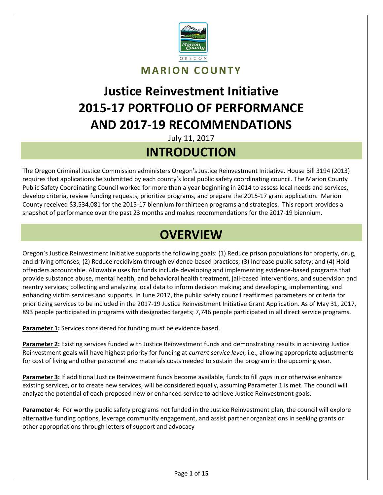

### **MARION COUNTY**

# **Justice Reinvestment Initiative 2015-17 PORTFOLIO OF PERFORMANCE AND 2017-19 RECOMMENDATIONS**

July 11, 2017

### **INTRODUCTION**

The Oregon Criminal Justice Commission administers Oregon's Justice Reinvestment Initiative. House Bill 3194 (2013) requires that applications be submitted by each county's local public safety coordinating council. The Marion County Public Safety Coordinating Council worked for more than a year beginning in 2014 to assess local needs and services, develop criteria, review funding requests, prioritize programs, and prepare the 2015-17 grant application. Marion County received \$3,534,081 for the 2015-17 biennium for thirteen programs and strategies. This report provides a snapshot of performance over the past 23 months and makes recommendations for the 2017-19 biennium.

## **OVERVIEW**

Oregon's Justice Reinvestment Initiative supports the following goals: (1) Reduce prison populations for property, drug, and driving offenses; (2) Reduce recidivism through evidence-based practices; (3) Increase public safety; and (4) Hold offenders accountable. Allowable uses for funds include developing and implementing evidence-based programs that provide substance abuse, mental health, and behavioral health treatment, jail-based interventions, and supervision and reentry services; collecting and analyzing local data to inform decision making; and developing, implementing, and enhancing victim services and supports. In June 2017, the public safety council reaffirmed parameters or criteria for prioritizing services to be included in the 2017-19 Justice Reinvestment Initiative Grant Application. As of May 31, 2017, 893 people participated in programs with designated targets; 7,746 people participated in all direct service programs.

**Parameter 1:** Services considered for funding must be evidence based.

**Parameter 2:** Existing services funded with Justice Reinvestment funds and demonstrating results in achieving Justice Reinvestment goals will have highest priority for funding at *current service level*; i.e., allowing appropriate adjustments for cost of living and other personnel and materials costs needed to sustain the program in the upcoming year.

**Parameter 3:** If additional Justice Reinvestment funds become available, funds to fill *gaps* in or otherwise enhance existing services, or to create new services, will be considered equally, assuming Parameter 1 is met. The council will analyze the potential of each proposed new or enhanced service to achieve Justice Reinvestment goals.

**Parameter 4:** For worthy public safety programs not funded in the Justice Reinvestment plan, the council will explore alternative funding options, leverage community engagement, and assist partner organizations in seeking grants or other appropriations through letters of support and advocacy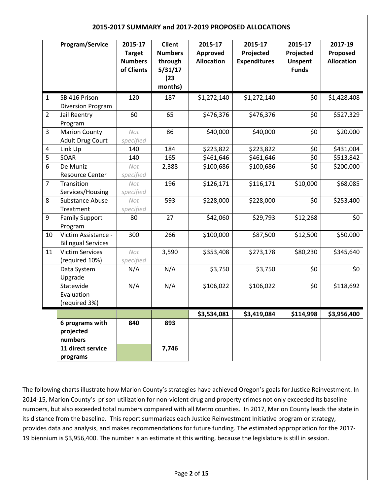#### **2015-2017 SUMMARY and 2017-2019 PROPOSED ALLOCATIONS**

|                         | Program/Service                                              | 2015-17<br><b>Target</b><br><b>Numbers</b><br>of Clients | <b>Client</b><br><b>Numbers</b><br>through<br>5/31/17<br>(23)<br>months) | 2015-17<br>Approved<br><b>Allocation</b> | 2015-17<br>Projected<br><b>Expenditures</b> | 2015-17<br>Projected<br><b>Unspent</b><br><b>Funds</b> | 2017-19<br>Proposed<br><b>Allocation</b> |
|-------------------------|--------------------------------------------------------------|----------------------------------------------------------|--------------------------------------------------------------------------|------------------------------------------|---------------------------------------------|--------------------------------------------------------|------------------------------------------|
| $\mathbf{1}$            | SB 416 Prison<br>Diversion Program                           | 120                                                      | 187                                                                      | \$1,272,140                              | \$1,272,140                                 | \$0                                                    | \$1,428,408                              |
| $\overline{2}$          | Jail Reentry<br>Program                                      | 60                                                       | 65                                                                       | \$476,376                                | \$476,376                                   | \$0                                                    | \$527,329                                |
| 3                       | <b>Marion County</b><br><b>Adult Drug Court</b>              | Not<br>specified                                         | 86                                                                       | \$40,000                                 | \$40,000                                    | \$0                                                    | \$20,000                                 |
| $\overline{\mathbf{4}}$ | Link Up                                                      | 140                                                      | 184                                                                      | \$223,822                                | \$223,822                                   | \$0                                                    | \$431,004                                |
| 5                       | SOAR                                                         | 140                                                      | 165                                                                      | \$461,646                                | \$461,646                                   | \$0                                                    | \$513,842                                |
| 6                       | De Muniz<br><b>Resource Center</b>                           | Not<br>specified                                         | 2,388                                                                    | \$100,686                                | \$100,686                                   | \$0                                                    | \$200,000                                |
| $\overline{7}$          | Transition<br>Services/Housing                               | Not<br>specified                                         | 196                                                                      | \$126,171                                | \$116,171                                   | \$10,000                                               | \$68,085                                 |
| 8                       | Substance Abuse<br>Treatment                                 | Not<br>specified                                         | 593                                                                      | \$228,000                                | \$228,000                                   | \$0                                                    | \$253,400                                |
| 9                       | <b>Family Support</b><br>Program                             | 80                                                       | 27                                                                       | \$42,060                                 | \$29,793                                    | \$12,268                                               | \$0                                      |
| 10                      | Victim Assistance -<br><b>Bilingual Services</b>             | 300                                                      | 266                                                                      | \$100,000                                | \$87,500                                    | \$12,500                                               | \$50,000                                 |
| 11                      | <b>Victim Services</b><br>(required 10%)                     | Not<br>specified                                         | 3,590                                                                    | \$353,408                                | \$273,178                                   | \$80,230                                               | \$345,640                                |
|                         | Data System<br>Upgrade                                       | N/A                                                      | N/A                                                                      | \$3,750                                  | \$3,750                                     | \$0                                                    | \$0                                      |
|                         | Statewide<br>Evaluation<br>(required 3%)                     | N/A                                                      | N/A                                                                      | \$106,022                                | \$106,022                                   | \$0                                                    | \$118,692                                |
|                         |                                                              |                                                          |                                                                          | \$3,534,081                              | \$3,419,084                                 | \$114,998                                              | \$3,956,400                              |
|                         | 6 programs with<br>projected<br>numbers<br>11 direct service | 840                                                      | 893<br>7,746                                                             |                                          |                                             |                                                        |                                          |
|                         | programs                                                     |                                                          |                                                                          |                                          |                                             |                                                        |                                          |

The following charts illustrate how Marion County's strategies have achieved Oregon's goals for Justice Reinvestment. In 2014-15, Marion County's prison utilization for non-violent drug and property crimes not only exceeded its baseline numbers, but also exceeded total numbers compared with all Metro counties. In 2017, Marion County leads the state in its distance from the baseline. This report summarizes each Justice Reinvestment Initiative program or strategy, provides data and analysis, and makes recommendations for future funding. The estimated appropriation for the 2017- 19 biennium is \$3,956,400. The number is an estimate at this writing, because the legislature is still in session.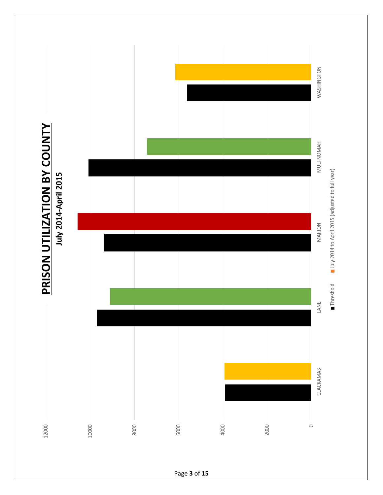

Page **3** of **15**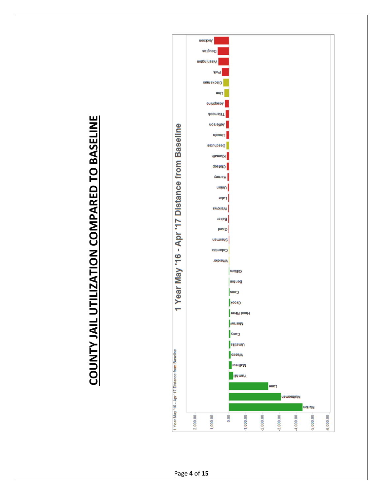

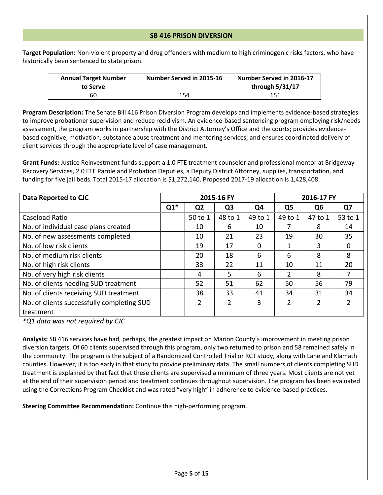#### **SB 416 PRISON DIVERSION**

**Target Population:** Non-violent property and drug offenders with medium to high criminogenic risks factors, who have historically been sentenced to state prison.

| <b>Annual Target Number</b><br>to Serve | Number Served in 2015-16 | Number Served in 2016-17<br>through 5/31/17 |
|-----------------------------------------|--------------------------|---------------------------------------------|
| 60                                      | 154                      | 151                                         |

**Program Description:** The Senate Bill 416 Prison Diversion Program develops and implements evidence-based strategies to improve probationer supervision and reduce recidivism. An evidence-based sentencing program employing risk/needs assessment, the program works in partnership with the District Attorney's Office and the courts; provides evidencebased cognitive, motivation, substance abuse treatment and mentoring services; and ensures coordinated delivery of client services through the appropriate level of case management.

**Grant Funds:** Justice Reinvestment funds support a 1.0 FTE treatment counselor and professional mentor at Bridgeway Recovery Services, 2.0 FTE Parole and Probation Deputies, a Deputy District Attorney, supplies, transportation, and funding for five jail beds. Total 2015-17 allocation is \$1,272,140. Proposed 2017-19 allocation is 1,428,408.

| Data Reported to CJC                       |       |                | 2015-16 FY     |          |                | 2016-17 FY |         |  |
|--------------------------------------------|-------|----------------|----------------|----------|----------------|------------|---------|--|
|                                            | $Q1*$ | Q <sub>2</sub> | Q <sub>3</sub> | Q4       | Q <sub>5</sub> | Q6         | Q7      |  |
| Caseload Ratio                             |       | 50 to 1        | 48 to 1        | 49 to 1  | 49 to 1        | 47 to 1    | 53 to 1 |  |
| No. of individual case plans created       |       | 10             | 6              | 10       |                | 8          | 14      |  |
| No. of new assessments completed           |       | 10             | 21             | 23       | 19             | 30         | 35      |  |
| No. of low risk clients                    |       | 19             | 17             | $\Omega$ | 1              | 3          | 0       |  |
| No. of medium risk clients                 |       | 20             | 18             | 6        | 6              | 8          | 8       |  |
| No. of high risk clients                   |       | 33             | 22             | 11       | 10             | 11         | 20      |  |
| No. of very high risk clients              |       | 4              | 5              | 6        | 2              | 8          |         |  |
| No. of clients needing SUD treatment       |       | 52             | 51             | 62       | 50             | 56         | 79      |  |
| No. of clients receiving SUD treatment     |       | 38             | 33             | 41       | 34             | 31         | 34      |  |
| No. of clients successfully completing SUD |       | 2              | 2              | 3        | 2              | 2          | 2       |  |
| treatment                                  |       |                |                |          |                |            |         |  |

*\*Q1 data was not required by CJC*

**Analysis:** SB 416 services have had, perhaps, the greatest impact on Marion County's improvement in meeting prison diversion targets. Of 60 clients supervised through this program, only two returned to prison and 58 remained safely in the community. The program is the subject of a Randomized Controlled Trial or RCT study, along with Lane and Klamath counties. However, it is too early in that study to provide preliminary data. The small numbers of clients completing SUD treatment is explained by that fact that these clients are supervised a minimum of three years. Most clients are not yet at the end of their supervision period and treatment continues throughout supervision. The program has been evaluated using the Corrections Program Checklist and was rated "very high" in adherence to evidence-based practices.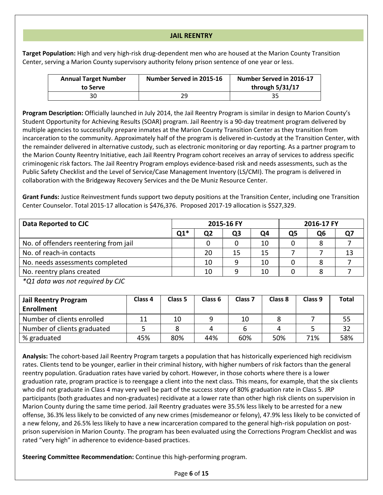#### **JAIL REENTRY**

**Target Population:** High and very high-risk drug-dependent men who are housed at the Marion County Transition Center, serving a Marion County supervisory authority felony prison sentence of one year or less.

| <b>Annual Target Number</b><br>to Serve | Number Served in 2015-16 | Number Served in 2016-17<br>through 5/31/17 |
|-----------------------------------------|--------------------------|---------------------------------------------|
| 30                                      | າດ                       | 35                                          |

**Program Description:** Officially launched in July 2014, the Jail Reentry Program is similar in design to Marion County's Student Opportunity for Achieving Results (SOAR) program. Jail Reentry is a 90-day treatment program delivered by multiple agencies to successfully prepare inmates at the Marion County Transition Center as they transition from incarceration to the community. Approximately half of the program is delivered in-custody at the Transition Center, with the remainder delivered in alternative custody, such as electronic monitoring or day reporting. As a partner program to the Marion County Reentry Initiative, each Jail Reentry Program cohort receives an array of services to address specific criminogenic risk factors. The Jail Reentry Program employs evidence-based risk and needs assessments, such as the Public Safety Checklist and the Level of Service/Case Management Inventory (LS/CMI). The program is delivered in collaboration with the Bridgeway Recovery Services and the De Muniz Resource Center.

**Grant Funds:** Justice Reinvestment funds support two deputy positions at the Transition Center, including one Transition Center Counselor. Total 2015-17 allocation is \$476,376. Proposed 2017-19 allocation is \$527,329.

| Data Reported to CJC                  |       |    | 2015-16 FY | 2016-17 FY |    |    |    |
|---------------------------------------|-------|----|------------|------------|----|----|----|
|                                       | $Q1*$ | Q2 | Q3         | Ο4         | Q5 | Ο6 |    |
| No. of offenders reentering from jail |       |    |            | 10         |    |    |    |
| No. of reach-in contacts              |       | 20 | 15         | 15         |    |    | 13 |
| No. needs assessments completed       |       | 10 |            | 10         |    |    |    |
| No. reentry plans created             |       | 10 |            | 10         |    |    |    |

*\*Q1 data was not required by CJC*

| <b>Jail Reentry Program</b> | Class 4 | Class 5 | Class <sub>6</sub> | Class <sub>7</sub> | Class 8 | Class <sub>9</sub> | <b>Total</b> |
|-----------------------------|---------|---------|--------------------|--------------------|---------|--------------------|--------------|
| <b>Enrollment</b>           |         |         |                    |                    |         |                    |              |
| Number of clients enrolled  |         | 10      |                    | 10                 |         |                    |              |
| Number of clients graduated |         |         |                    |                    |         |                    | 32           |
| % graduated                 | 45%     | 80%     | 44%                | 60%                | 50%     | 71%                | 58%          |

**Analysis:** The cohort-based Jail Reentry Program targets a population that has historically experienced high recidivism rates. Clients tend to be younger, earlier in their criminal history, with higher numbers of risk factors than the general reentry population. Graduation rates have varied by cohort. However, in those cohorts where there is a lower graduation rate, program practice is to reengage a client into the next class. This means, for example, that the six clients who did not graduate in Class 4 may very well be part of the success story of 80% graduation rate in Class 5. JRP participants (both graduates and non-graduates) recidivate at a lower rate than other high risk clients on supervision in Marion County during the same time period. Jail Reentry graduates were 35.5% less likely to be arrested for a new offense, 36.3% less likely to be convicted of any new crimes (misdemeanor or felony), 47.9% less likely to be convicted of a new felony, and 26.5% less likely to have a new incarceration compared to the general high-risk population on postprison supervision in Marion County. The program has been evaluated using the Corrections Program Checklist and was rated "very high" in adherence to evidence-based practices.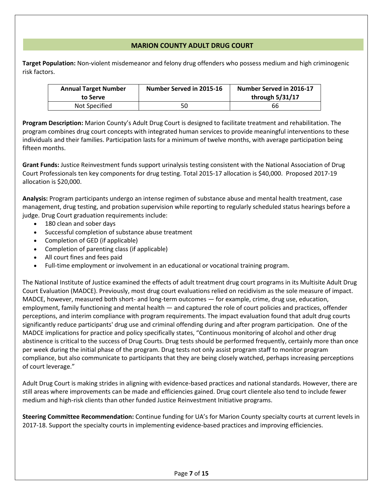#### **MARION COUNTY ADULT DRUG COURT**

**Target Population:** Non-violent misdemeanor and felony drug offenders who possess medium and high criminogenic risk factors.

| <b>Annual Target Number</b><br>to Serve | Number Served in 2015-16 | Number Served in 2016-17<br>through 5/31/17 |
|-----------------------------------------|--------------------------|---------------------------------------------|
| Not Specified                           | 50                       | 66                                          |

**Program Description:** Marion County's Adult Drug Court is designed to facilitate treatment and rehabilitation. The program combines drug court concepts with integrated human services to provide meaningful interventions to these individuals and their families. Participation lasts for a minimum of twelve months, with average participation being fifteen months.

**Grant Funds:** Justice Reinvestment funds support urinalysis testing consistent with the National Association of Drug Court Professionals ten key components for drug testing. Total 2015-17 allocation is \$40,000. Proposed 2017-19 allocation is \$20,000.

**Analysis:** Program participants undergo an intense regimen of substance abuse and mental health treatment, case management, drug testing, and probation supervision while reporting to regularly scheduled status hearings before a judge. Drug Court graduation requirements include:

- 180 clean and sober days
- Successful completion of substance abuse treatment
- Completion of GED (if applicable)
- Completion of parenting class (if applicable)
- All court fines and fees paid
- Full-time employment or involvement in an educational or vocational training program.

The National Institute of Justice examined the effects of adult treatment drug court programs in its Multisite Adult Drug Court Evaluation (MADCE). Previously, most drug court evaluations relied on recidivism as the sole measure of impact. MADCE, however, measured both short- and long-term outcomes — for example, crime, drug use, education, employment, family functioning and mental health — and captured the role of court policies and practices, offender perceptions, and interim compliance with program requirements. The impact evaluation found that adult drug courts significantly reduce participants' drug use and criminal offending during and after program participation. One of the MADCE implications for practice and policy specifically states, "Continuous monitoring of alcohol and other drug abstinence is critical to the success of Drug Courts. Drug tests should be performed frequently, certainly more than once per week during the initial phase of the program. Drug tests not only assist program staff to monitor program compliance, but also communicate to participants that they are being closely watched, perhaps increasing perceptions of court leverage."

Adult Drug Court is making strides in aligning with evidence-based practices and national standards. However, there are still areas where improvements can be made and efficiencies gained. Drug court clientele also tend to include fewer medium and high-risk clients than other funded Justice Reinvestment Initiative programs.

**Steering Committee Recommendation:** Continue funding for UA's for Marion County specialty courts at current levels in 2017-18. Support the specialty courts in implementing evidence-based practices and improving efficiencies.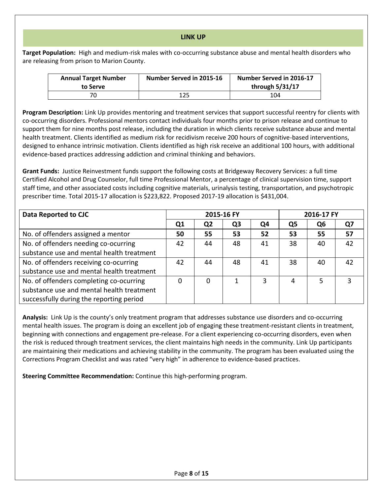#### **LINK UP**

**Target Population:** High and medium-risk males with co-occurring substance abuse and mental health disorders who are releasing from prison to Marion County.

| <b>Annual Target Number</b><br>to Serve | Number Served in 2015-16 | Number Served in 2016-17<br>through 5/31/17 |
|-----------------------------------------|--------------------------|---------------------------------------------|
|                                         | 125                      | 104                                         |

**Program Description:** Link Up provides mentoring and treatment services that support successful reentry for clients with co-occurring disorders. Professional mentors contact individuals four months prior to prison release and continue to support them for nine months post release, including the duration in which clients receive substance abuse and mental health treatment. Clients identified as medium risk for recidivism receive 200 hours of cognitive-based interventions, designed to enhance intrinsic motivation. Clients identified as high risk receive an additional 100 hours, with additional evidence-based practices addressing addiction and criminal thinking and behaviors.

**Grant Funds:** Justice Reinvestment funds support the following costs at Bridgeway Recovery Services: a full time Certified Alcohol and Drug Counselor, full time Professional Mentor, a percentage of clinical supervision time, support staff time, and other associated costs including cognitive materials, urinalysis testing, transportation, and psychotropic prescriber time. Total 2015-17 allocation is \$223,822. Proposed 2017-19 allocation is \$431,004.

| Data Reported to CJC                      |                | 2015-16 FY |                | 2016-17 FY |    |    |    |
|-------------------------------------------|----------------|------------|----------------|------------|----|----|----|
|                                           | Q <sub>1</sub> | Q2         | Q <sub>3</sub> | Q4         | Q5 | Q6 | Q7 |
| No. of offenders assigned a mentor        | 50             | 55         | 53             | 52         | 53 | 55 | 57 |
| No. of offenders needing co-ocurring      | 42             | 44         | 48             | 41         | 38 | 40 | 42 |
| substance use and mental health treatment |                |            |                |            |    |    |    |
| No. of offenders receiving co-ocurring    | 42             | 44         | 48             | 41         | 38 | 40 | 42 |
| substance use and mental health treatment |                |            |                |            |    |    |    |
| No. of offenders completing co-ocurring   | 0              | 0          |                | 3          | 4  | 5  | 3  |
| substance use and mental health treatment |                |            |                |            |    |    |    |
| successfully during the reporting period  |                |            |                |            |    |    |    |

**Analysis:** Link Up is the county's only treatment program that addresses substance use disorders and co-occurring mental health issues. The program is doing an excellent job of engaging these treatment-resistant clients in treatment, beginning with connections and engagement pre-release. For a client experiencing co-occurring disorders, even when the risk is reduced through treatment services, the client maintains high needs in the community. Link Up participants are maintaining their medications and achieving stability in the community. The program has been evaluated using the Corrections Program Checklist and was rated "very high" in adherence to evidence-based practices.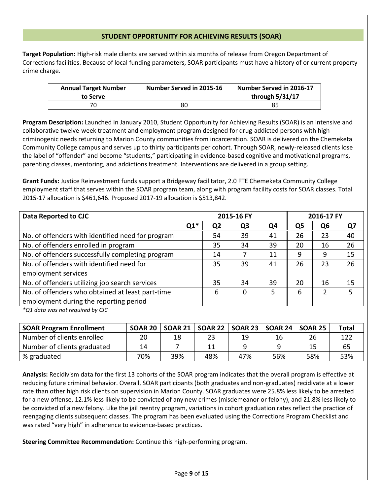#### **STUDENT OPPORTUNITY FOR ACHIEVING RESULTS (SOAR)**

**Target Population:** High-risk male clients are served within six months of release from Oregon Department of Corrections facilities. Because of local funding parameters, SOAR participants must have a history of or current property crime charge.

| <b>Annual Target Number</b><br>to Serve | Number Served in 2015-16 | Number Served in 2016-17<br>through 5/31/17 |
|-----------------------------------------|--------------------------|---------------------------------------------|
| 70                                      | 80                       | 85                                          |

**Program Description:** Launched in January 2010, Student Opportunity for Achieving Results (SOAR) is an intensive and collaborative twelve-week treatment and employment program designed for drug-addicted persons with high criminogenic needs returning to Marion County communities from incarceration. SOAR is delivered on the Chemeketa Community College campus and serves up to thirty participants per cohort. Through SOAR, newly-released clients lose the label of "offender" and become "students," participating in evidence-based cognitive and motivational programs, parenting classes, mentoring, and addictions treatment. Interventions are delivered in a group setting.

**Grant Funds:** Justice Reinvestment funds support a Bridgeway facilitator, 2.0 FTE Chemeketa Community College employment staff that serves within the SOAR program team, along with program facility costs for SOAR classes. Total 2015-17 allocation is \$461,646. Proposed 2017-19 allocation is \$513,842.

| Data Reported to CJC                              | 2015-16 FY<br>2016-17 FY |                |                |    |                |    |    |
|---------------------------------------------------|--------------------------|----------------|----------------|----|----------------|----|----|
|                                                   | $Q1*$                    | Q <sub>2</sub> | Q <sub>3</sub> | Q4 | Q <sub>5</sub> | Q6 | Q7 |
| No. of offenders with identified need for program |                          | 54             | 39             | 41 | 26             | 23 | 40 |
| No. of offenders enrolled in program              |                          | 35             | 34             | 39 | 20             | 16 | 26 |
| No. of offenders successfully completing program  |                          | 14             |                | 11 | 9              | 9  | 15 |
| No. of offenders with identified need for         |                          | 35             | 39             | 41 | 26             | 23 | 26 |
| employment services                               |                          |                |                |    |                |    |    |
| No. of offenders utilizing job search services    |                          | 35             | 34             | 39 | 20             | 16 | 15 |
| No. of offenders who obtained at least part-time  |                          | 6              | 0              | 5  | 6              | 2  | 5  |
| employment during the reporting period            |                          |                |                |    |                |    |    |

*\*Q1 data was not required by CJC*

| <b>SOAR Program Enrollment</b> | <b>SOAR 20</b> | <b>SOAR 21</b> |     | <b>SOAR 22   SOAR 23  </b> | <b>SOAR 24</b> | SOAR 25 | <b>Total</b> |
|--------------------------------|----------------|----------------|-----|----------------------------|----------------|---------|--------------|
| Number of clients enrolled     | 20             | 18             |     | 19                         | 16             | 26      | 122          |
| Number of clients graduated    | 14             |                |     |                            |                | 15      | 65           |
| % graduated                    | 70%            | 39%            | 48% | 47%                        | 56%            | 58%     | 53%          |

**Analysis:** Recidivism data for the first 13 cohorts of the SOAR program indicates that the overall program is effective at reducing future criminal behavior. Overall, SOAR participants (both graduates and non-graduates) recidivate at a lower rate than other high risk clients on supervision in Marion County. SOAR graduates were 25.8% less likely to be arrested for a new offense, 12.1% less likely to be convicted of any new crimes (misdemeanor or felony), and 21.8% less likely to be convicted of a new felony. Like the jail reentry program, variations in cohort graduation rates reflect the practice of reengaging clients subsequent classes. The program has been evaluated using the Corrections Program Checklist and was rated "very high" in adherence to evidence-based practices.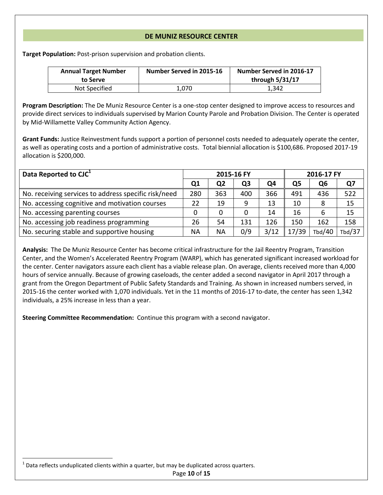#### **DE MUNIZ RESOURCE CENTER**

**Target Population:** Post-prison supervision and probation clients.

| <b>Annual Target Number</b><br>to Serve | Number Served in 2015-16 | Number Served in 2016-17<br>through 5/31/17 |
|-----------------------------------------|--------------------------|---------------------------------------------|
| Not Specified                           | 1.070                    | 1.342                                       |

**Program Description:** The De Muniz Resource Center is a one-stop center designed to improve access to resources and provide direct services to individuals supervised by Marion County Parole and Probation Division. The Center is operated by Mid-Willamette Valley Community Action Agency.

**Grant Funds:** Justice Reinvestment funds support a portion of personnel costs needed to adequately operate the center, as well as operating costs and a portion of administrative costs. Total biennial allocation is \$100,686. Proposed 2017-19 allocation is \$200,000.

| Data Reported to CJC <sup>1</sup>                    | 2015-16 FY     |           |     | 2016-17 FY |       |        |        |
|------------------------------------------------------|----------------|-----------|-----|------------|-------|--------|--------|
|                                                      | Q <sub>1</sub> | Q2        | Q3  | Q4         | Q5    | Q6     | Ο7     |
| No. receiving services to address specific risk/need | 280            | 363       | 400 | 366        | 491   | 436    | 522    |
| No. accessing cognitive and motivation courses       | 22             | 19        | 9   | 13         | 10    | 8      | 15     |
| No. accessing parenting courses                      | 0              | 0         |     | 14         | 16    | 6      | 15     |
| No. accessing job readiness programming              | 26             | 54        | 131 | 126        | 150   | 162    | 158    |
| No. securing stable and supportive housing           | NА             | <b>NA</b> | 0/9 | 3/12       | 17/39 | Tbd/40 | Tbd/37 |

**Analysis:** The De Muniz Resource Center has become critical infrastructure for the Jail Reentry Program, Transition Center, and the Women's Accelerated Reentry Program (WARP), which has generated significant increased workload for the center. Center navigators assure each client has a viable release plan. On average, clients received more than 4,000 hours of service annually. Because of growing caseloads, the center added a second navigator in April 2017 through a grant from the Oregon Department of Public Safety Standards and Training. As shown in increased numbers served, in 2015-16 the center worked with 1,070 individuals. Yet in the 11 months of 2016-17 to-date, the center has seen 1,342 individuals, a 25% increase in less than a year.

**Steering Committee Recommendation:** Continue this program with a second navigator.

 $\overline{\phantom{a}}$ 

 $^{1}$  Data reflects unduplicated clients within a quarter, but may be duplicated across quarters.

Page **10** of **15**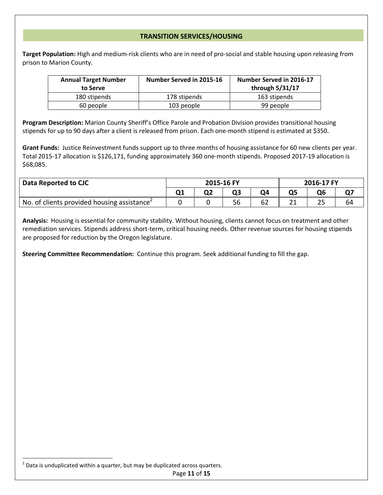#### **TRANSITION SERVICES/HOUSING**

**Target Population:** High and medium-risk clients who are in need of pro-social and stable housing upon releasing from prison to Marion County.

| <b>Annual Target Number</b><br>to Serve | Number Served in 2015-16 | Number Served in 2016-17<br>through 5/31/17 |
|-----------------------------------------|--------------------------|---------------------------------------------|
| 180 stipends                            | 178 stipends             | 163 stipends                                |
| 60 people                               | 103 people               | 99 people                                   |

**Program Description:** Marion County Sheriff's Office Parole and Probation Division provides transitional housing stipends for up to 90 days after a client is released from prison. Each one-month stipend is estimated at \$350.

**Grant Funds:** Justice Reinvestment funds support up to three months of housing assistance for 60 new clients per year. Total 2015-17 allocation is \$126,171, funding approximately 360 one-month stipends. Proposed 2017-19 allocation is \$68,085.

| Data Reported to CJC                                    | 2015-16 FY |  |  | 2016-17 FY |  |     |    |
|---------------------------------------------------------|------------|--|--|------------|--|-----|----|
|                                                         |            |  |  |            |  | Q6  |    |
| No. of clients provided housing assistance <sup>2</sup> |            |  |  |            |  | ر ے | 64 |

**Analysis:** Housing is essential for community stability. Without housing, clients cannot focus on treatment and other remediation services. Stipends address short-term, critical housing needs. Other revenue sources for housing stipends are proposed for reduction by the Oregon legislature.

**Steering Committee Recommendation:** Continue this program. Seek additional funding to fill the gap.

 $\overline{\phantom{a}}$ 

 $^{2}$  Data is unduplicated within a quarter, but may be duplicated across quarters.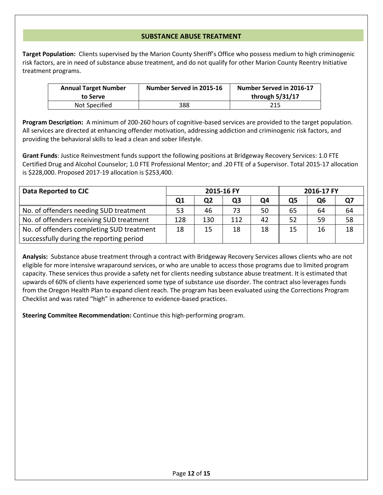#### **SUBSTANCE ABUSE TREATMENT**

**Target Population:** Clients supervised by the Marion County Sheriff's Office who possess medium to high criminogenic risk factors, are in need of substance abuse treatment, and do not qualify for other Marion County Reentry Initiative treatment programs.

| <b>Annual Target Number</b><br>to Serve | Number Served in 2015-16 | Number Served in 2016-17<br>through 5/31/17 |
|-----------------------------------------|--------------------------|---------------------------------------------|
| Not Specified                           | 388                      | 215                                         |

**Program Description:** A minimum of 200-260 hours of cognitive-based services are provided to the target population. All services are directed at enhancing offender motivation, addressing addiction and criminogenic risk factors, and providing the behavioral skills to lead a clean and sober lifestyle.

**Grant Funds**: Justice Reinvestment funds support the following positions at Bridgeway Recovery Services: 1.0 FTE Certified Drug and Alcohol Counselor; 1.0 FTE Professional Mentor; and .20 FTE of a Supervisor. Total 2015-17 allocation is \$228,000. Proposed 2017-19 allocation is \$253,400.

| Data Reported to CJC                      | 2015-16 FY |     |     |    | 2016-17 FY |    |    |
|-------------------------------------------|------------|-----|-----|----|------------|----|----|
|                                           | Q1         | Q2  | Q3  | Ο4 | Ο5         | Q6 |    |
| No. of offenders needing SUD treatment    | 53         | 46  |     | 50 | 65         | 64 | 64 |
| No. of offenders receiving SUD treatment  | 128        | 130 | 112 | 42 | 52         | 59 | 58 |
| No. of offenders completing SUD treatment | 18         | 15  | 18  | 18 | 15         | 16 | 18 |
| successfully during the reporting period  |            |     |     |    |            |    |    |

**Analysis:** Substance abuse treatment through a contract with Bridgeway Recovery Services allows clients who are not eligible for more intensive wraparound services, or who are unable to access those programs due to limited program capacity. These services thus provide a safety net for clients needing substance abuse treatment. It is estimated that upwards of 60% of clients have experienced some type of substance use disorder. The contract also leverages funds from the Oregon Health Plan to expand client reach. The program has been evaluated using the Corrections Program Checklist and was rated "high" in adherence to evidence-based practices.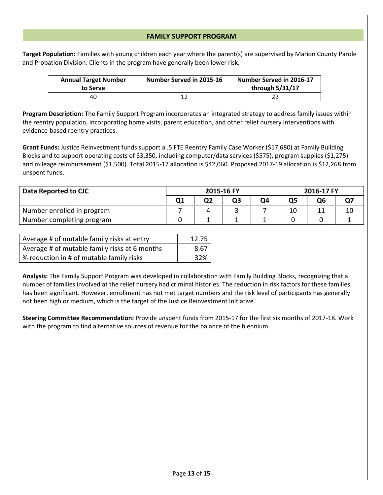#### **FAMILY SUPPORT PROGRAM**

**Target Population:** Families with young children each year where the parent(s) are supervised by Marion County Parole and Probation Division. Clients in the program have generally been lower risk.

| <b>Annual Target Number</b><br>to Serve | Number Served in 2015-16 | Number Served in 2016-17<br>through 5/31/17 |
|-----------------------------------------|--------------------------|---------------------------------------------|
| 40                                      |                          |                                             |

**Program Description:** The Family Support Program incorporates an integrated strategy to address family issues within the reentry population, incorporating home visits, parent education, and other relief nursery interventions with evidence-based reentry practices.

**Grant Funds:** Justice Reinvestment funds support a .5 FTE Reentry Family Case Worker (\$17,680) at Family Building Blocks and to support operating costs of \$3,350, including computer/data services (\$575), program supplies (\$1,275) and mileage reimbursement (\$1,500). Total 2015-17 allocation is \$42,060. Proposed 2017-19 allocation is \$12,268 from unspent funds.

| Data Reported to CJC       | 2015-16 FY |  | 2016-17 FY |    |  |    |
|----------------------------|------------|--|------------|----|--|----|
|                            |            |  |            | Ο6 |  |    |
| Number enrolled in program |            |  |            | 10 |  | 10 |
| Number completing program  |            |  |            |    |  |    |

| Average # of mutable family risks at entry    | 12.75 |
|-----------------------------------------------|-------|
| Average # of mutable family risks at 6 months | 8.67  |
| % reduction in # of mutable family risks      | 32%   |

**Analysis:** The Family Support Program was developed in collaboration with Family Building Blocks, recognizing that a number of families involved at the relief nursery had criminal histories. The reduction in risk factors for these families has been significant. However, enrollment has not met target numbers and the risk level of participants has generally not been high or medium, which is the target of the Justice Reinvestment Initiative.

**Steering Committee Recommendation:** Provide unspent funds from 2015-17 for the first six months of 2017-18. Work with the program to find alternative sources of revenue for the balance of the biennium.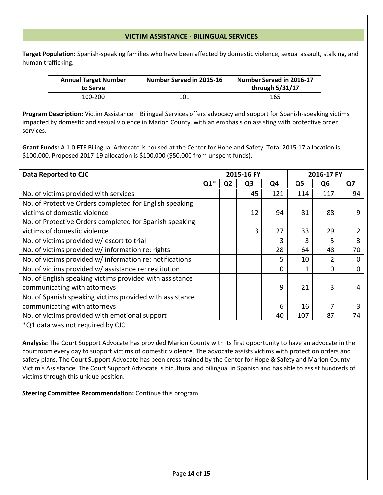#### **VICTIM ASSISTANCE - BILINGUAL SERVICES**

**Target Population:** Spanish-speaking families who have been affected by domestic violence, sexual assault, stalking, and human trafficking.

| <b>Annual Target Number</b><br>to Serve | Number Served in 2015-16 | Number Served in 2016-17<br>through 5/31/17 |
|-----------------------------------------|--------------------------|---------------------------------------------|
| 100-200                                 | 101                      | 165                                         |

**Program Description:** Victim Assistance – Bilingual Services offers advocacy and support for Spanish-speaking victims impacted by domestic and sexual violence in Marion County, with an emphasis on assisting with protective order services.

**Grant Funds:** A 1.0 FTE Bilingual Advocate is housed at the Center for Hope and Safety. Total 2015-17 allocation is \$100,000. Proposed 2017-19 allocation is \$100,000 (\$50,000 from unspent funds).

| Data Reported to CJC                                     |       |                | 2015-16 FY     |          |                | 2016-17 FY     |          |  |
|----------------------------------------------------------|-------|----------------|----------------|----------|----------------|----------------|----------|--|
|                                                          | $Q1*$ | Q <sub>2</sub> | Q <sub>3</sub> | Q4       | Q <sub>5</sub> | Q <sub>6</sub> | Q7       |  |
| No. of victims provided with services                    |       |                | 45             | 121      | 114            | 117            | 94       |  |
| No. of Protective Orders completed for English speaking  |       |                |                |          |                |                |          |  |
| victims of domestic violence                             |       |                | 12             | 94       | 81             | 88             | 9        |  |
| No. of Protective Orders completed for Spanish speaking  |       |                |                |          |                |                |          |  |
| victims of domestic violence                             |       |                | 3              | 27       | 33             | 29             |          |  |
| No. of victims provided w/ escort to trial               |       |                |                | 3        | 3              | 5.             | 3        |  |
| No. of victims provided w/ information re: rights        |       |                |                | 28       | 64             | 48             | 70       |  |
| No. of victims provided w/ information re: notifications |       |                |                | 5        | 10             | $\overline{2}$ | $\Omega$ |  |
| No. of victims provided w/ assistance re: restitution    |       |                |                | $\Omega$ | 1              | 0              | $\Omega$ |  |
| No. of English speaking victims provided with assistance |       |                |                |          |                |                |          |  |
| communicating with attorneys                             |       |                |                | 9        | 21             | 3              | 4        |  |
| No. of Spanish speaking victims provided with assistance |       |                |                |          |                |                |          |  |
| communicating with attorneys                             |       |                |                | 6        | 16             |                |          |  |
| No. of victims provided with emotional support           |       |                |                | 40       | 107            | 87             | 74       |  |

\*Q1 data was not required by CJC

**Analysis:** The Court Support Advocate has provided Marion County with its first opportunity to have an advocate in the courtroom every day to support victims of domestic violence. The advocate assists victims with protection orders and safety plans. The Court Support Advocate has been cross-trained by the Center for Hope & Safety and Marion County Victim's Assistance. The Court Support Advocate is bicultural and bilingual in Spanish and has able to assist hundreds of victims through this unique position.

**Steering Committee Recommendation:** Continue this program.